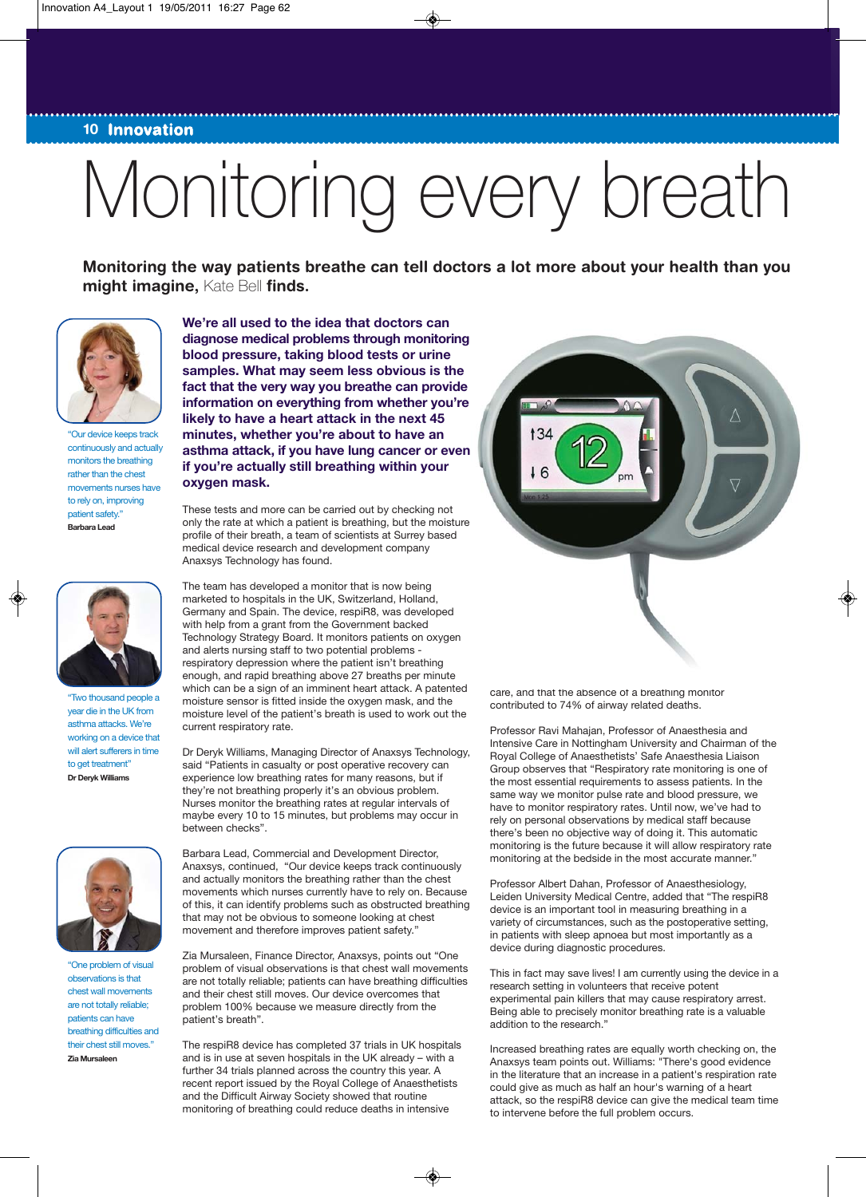## **10 Innovation**

## Monitoring every breath

◈

**Monitoring the way patients breathe can tell doctors a lot more about your health than you might imagine,** Kate Bell **finds.**



"Our device keeps track continuously and actually monitors the breathing rather than the chest movements nurses have to rely on, improving patient safety." **Barbara Lead**



"Two thousand people a year die in the UK from asthma attacks. We're working on a device that will alert sufferers in time to get treatment" **Dr Deryk Williams**



"One problem of visual observations is that chest wall movements are not totally reliable; patients can have breathing difficulties and their chest still moves. **Zia Mursaleen**

**We're all used to the idea that doctors can diagnose medical problems through monitoring blood pressure, taking blood tests or urine samples. What may seem less obvious is the fact that the very way you breathe can provide information on everything from whether you're likely to have a heart attack in the next 45 minutes, whether you're about to have an asthma attack, if you have lung cancer or even if you're actually still breathing within your oxygen mask.**

These tests and more can be carried out by checking not only the rate at which a patient is breathing, but the moisture profile of their breath, a team of scientists at Surrey based medical device research and development company Anaxsys Technology has found.

The team has developed a monitor that is now being marketed to hospitals in the UK, Switzerland, Holland, Germany and Spain. The device, respiR8, was developed with help from a grant from the Government backed Technology Strategy Board. It monitors patients on oxygen and alerts nursing staff to two potential problems respiratory depression where the patient isn't breathing enough, and rapid breathing above 27 breaths per minute which can be a sign of an imminent heart attack. A patented moisture sensor is fitted inside the oxygen mask, and the moisture level of the patient's breath is used to work out the current respiratory rate.

Dr Deryk Williams, Managing Director of Anaxsys Technology, said "Patients in casualty or post operative recovery can experience low breathing rates for many reasons, but if they're not breathing properly it's an obvious problem. Nurses monitor the breathing rates at regular intervals of maybe every 10 to 15 minutes, but problems may occur in between checks".

Barbara Lead, Commercial and Development Director, Anaxsys, continued, "Our device keeps track continuously and actually monitors the breathing rather than the chest movements which nurses currently have to rely on. Because of this, it can identify problems such as obstructed breathing that may not be obvious to someone looking at chest movement and therefore improves patient safety."

Zia Mursaleen, Finance Director, Anaxsys, points out "One problem of visual observations is that chest wall movements are not totally reliable; patients can have breathing difficulties and their chest still moves. Our device overcomes that problem 100% because we measure directly from the patient's breath".

The respiR8 device has completed 37 trials in UK hospitals and is in use at seven hospitals in the UK already – with a further 34 trials planned across the country this year. A recent report issued by the Royal College of Anaesthetists and the Difficult Airway Society showed that routine monitoring of breathing could reduce deaths in intensive

 $\circledast$ 



care, and that the absence of a breathing monitor contributed to 74% of airway related deaths.

Professor Ravi Mahajan, Professor of Anaesthesia and Intensive Care in Nottingham University and Chairman of the Royal College of Anaesthetists' Safe Anaesthesia Liaison Group observes that "Respiratory rate monitoring is one of the most essential requirements to assess patients. In the same way we monitor pulse rate and blood pressure, we have to monitor respiratory rates. Until now, we've had to rely on personal observations by medical staff because there's been no objective way of doing it. This automatic monitoring is the future because it will allow respiratory rate monitoring at the bedside in the most accurate manner."

Professor Albert Dahan, Professor of Anaesthesiology, Leiden University Medical Centre, added that "The respiR8 device is an important tool in measuring breathing in a variety of circumstances, such as the postoperative setting, in patients with sleep apnoea but most importantly as a device during diagnostic procedures.

This in fact may save lives! I am currently using the device in a research setting in volunteers that receive potent experimental pain killers that may cause respiratory arrest. Being able to precisely monitor breathing rate is a valuable addition to the research."

Increased breathing rates are equally worth checking on, the Anaxsys team points out. Williams: "There's good evidence in the literature that an increase in a patient's respiration rate could give as much as half an hour's warning of a heart attack, so the respiR8 device can give the medical team time to intervene before the full problem occurs.